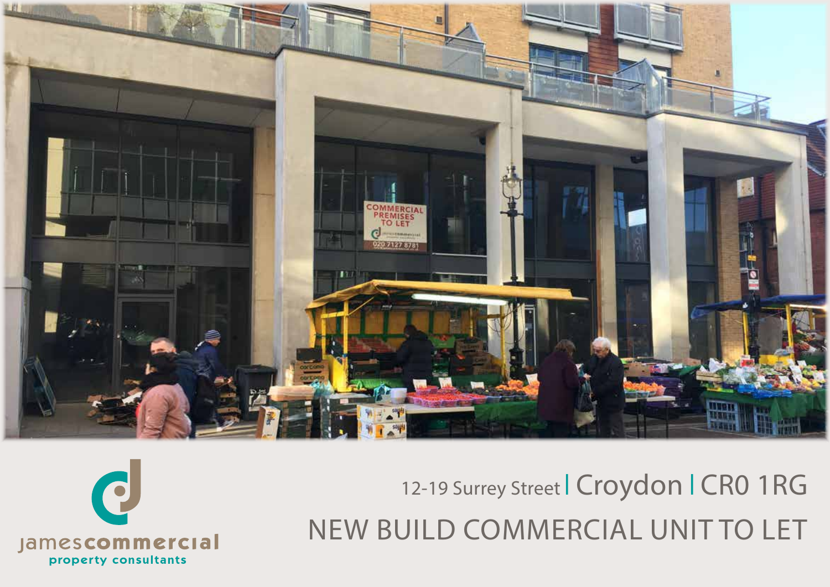

12-19 Surrey Street | Croydon | CR0 1RG NEW BUILD COMMERCIAL UNIT TO LET